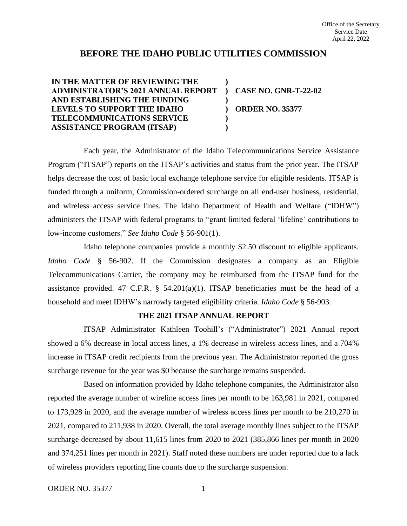# **BEFORE THE IDAHO PUBLIC UTILITIES COMMISSION**

**) ) ) ) ) )**

## **IN THE MATTER OF REVIEWING THE ADMINISTRATOR'S 2021 ANNUAL REPORT AND ESTABLISHING THE FUNDING LEVELS TO SUPPORT THE IDAHO TELECOMMUNICATIONS SERVICE ASSISTANCE PROGRAM (ITSAP)**

**CASE NO. GNR-T-22-02 ORDER NO. 35377**

Each year, the Administrator of the Idaho Telecommunications Service Assistance Program ("ITSAP") reports on the ITSAP's activities and status from the prior year. The ITSAP helps decrease the cost of basic local exchange telephone service for eligible residents. ITSAP is funded through a uniform, Commission-ordered surcharge on all end-user business, residential, and wireless access service lines. The Idaho Department of Health and Welfare ("IDHW") administers the ITSAP with federal programs to "grant limited federal 'lifeline' contributions to low-income customers." *See Idaho Code* § 56-901(1).

Idaho telephone companies provide a monthly \$2.50 discount to eligible applicants. *Idaho Code* § 56-902. If the Commission designates a company as an Eligible Telecommunications Carrier, the company may be reimbursed from the ITSAP fund for the assistance provided. 47 C.F.R.  $\S$  54.201(a)(1). ITSAP beneficiaries must be the head of a household and meet IDHW's narrowly targeted eligibility criteria. *Idaho Code* § 56-903.

#### **THE 2021 ITSAP ANNUAL REPORT**

ITSAP Administrator Kathleen Toohill's ("Administrator") 2021 Annual report showed a 6% decrease in local access lines, a 1% decrease in wireless access lines, and a 704% increase in ITSAP credit recipients from the previous year. The Administrator reported the gross surcharge revenue for the year was \$0 because the surcharge remains suspended.

Based on information provided by Idaho telephone companies, the Administrator also reported the average number of wireline access lines per month to be 163,981 in 2021, compared to 173,928 in 2020, and the average number of wireless access lines per month to be 210,270 in 2021, compared to 211,938 in 2020. Overall, the total average monthly lines subject to the ITSAP surcharge decreased by about 11,615 lines from 2020 to 2021 (385,866 lines per month in 2020 and 374,251 lines per month in 2021). Staff noted these numbers are under reported due to a lack of wireless providers reporting line counts due to the surcharge suspension.

ORDER NO. 35377 1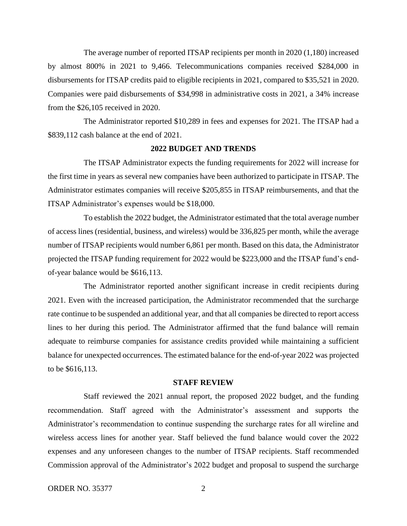The average number of reported ITSAP recipients per month in 2020 (1,180) increased by almost 800% in 2021 to 9,466. Telecommunications companies received \$284,000 in disbursements for ITSAP credits paid to eligible recipients in 2021, compared to \$35,521 in 2020. Companies were paid disbursements of \$34,998 in administrative costs in 2021, a 34% increase from the \$26,105 received in 2020.

The Administrator reported \$10,289 in fees and expenses for 2021. The ITSAP had a \$839,112 cash balance at the end of 2021.

### **2022 BUDGET AND TRENDS**

The ITSAP Administrator expects the funding requirements for 2022 will increase for the first time in years as several new companies have been authorized to participate in ITSAP. The Administrator estimates companies will receive \$205,855 in ITSAP reimbursements, and that the ITSAP Administrator's expenses would be \$18,000.

To establish the 2022 budget, the Administrator estimated that the total average number of access lines (residential, business, and wireless) would be 336,825 per month, while the average number of ITSAP recipients would number 6,861 per month. Based on this data, the Administrator projected the ITSAP funding requirement for 2022 would be \$223,000 and the ITSAP fund's endof-year balance would be \$616,113.

The Administrator reported another significant increase in credit recipients during 2021. Even with the increased participation, the Administrator recommended that the surcharge rate continue to be suspended an additional year, and that all companies be directed to report access lines to her during this period. The Administrator affirmed that the fund balance will remain adequate to reimburse companies for assistance credits provided while maintaining a sufficient balance for unexpected occurrences. The estimated balance for the end-of-year 2022 was projected to be \$616,113.

#### **STAFF REVIEW**

Staff reviewed the 2021 annual report, the proposed 2022 budget, and the funding recommendation. Staff agreed with the Administrator's assessment and supports the Administrator's recommendation to continue suspending the surcharge rates for all wireline and wireless access lines for another year. Staff believed the fund balance would cover the 2022 expenses and any unforeseen changes to the number of ITSAP recipients. Staff recommended Commission approval of the Administrator's 2022 budget and proposal to suspend the surcharge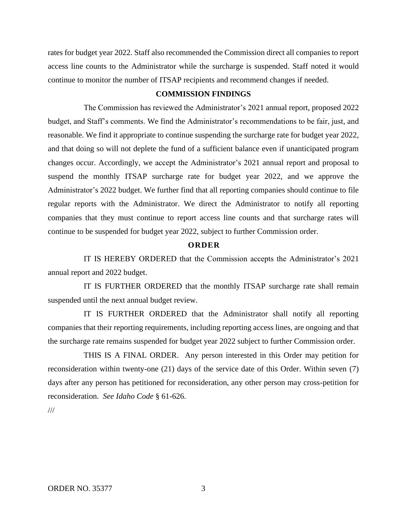rates for budget year 2022. Staff also recommended the Commission direct all companies to report access line counts to the Administrator while the surcharge is suspended. Staff noted it would continue to monitor the number of ITSAP recipients and recommend changes if needed.

### **COMMISSION FINDINGS**

The Commission has reviewed the Administrator's 2021 annual report, proposed 2022 budget, and Staff's comments. We find the Administrator's recommendations to be fair, just, and reasonable. We find it appropriate to continue suspending the surcharge rate for budget year 2022, and that doing so will not deplete the fund of a sufficient balance even if unanticipated program changes occur. Accordingly, we accept the Administrator's 2021 annual report and proposal to suspend the monthly ITSAP surcharge rate for budget year 2022, and we approve the Administrator's 2022 budget. We further find that all reporting companies should continue to file regular reports with the Administrator. We direct the Administrator to notify all reporting companies that they must continue to report access line counts and that surcharge rates will continue to be suspended for budget year 2022, subject to further Commission order.

### **O R D E R**

IT IS HEREBY ORDERED that the Commission accepts the Administrator's 2021 annual report and 2022 budget.

IT IS FURTHER ORDERED that the monthly ITSAP surcharge rate shall remain suspended until the next annual budget review.

IT IS FURTHER ORDERED that the Administrator shall notify all reporting companies that their reporting requirements, including reporting access lines, are ongoing and that the surcharge rate remains suspended for budget year 2022 subject to further Commission order.

THIS IS A FINAL ORDER. Any person interested in this Order may petition for reconsideration within twenty-one (21) days of the service date of this Order. Within seven (7) days after any person has petitioned for reconsideration, any other person may cross-petition for reconsideration. *See Idaho Code* § 61-626.

///